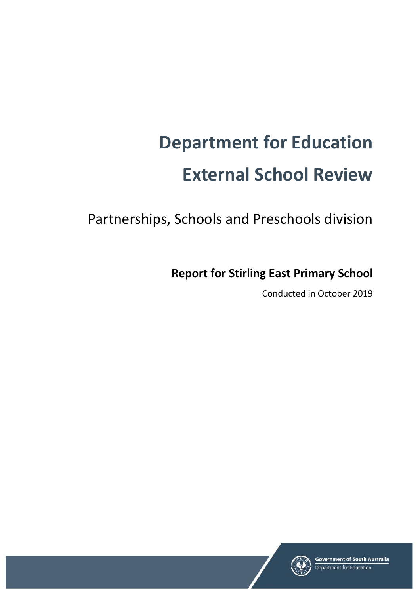# **Department for Education External School Review**

Partnerships, Schools and Preschools division

**Report for Stirling East Primary School**

Conducted in October 2019

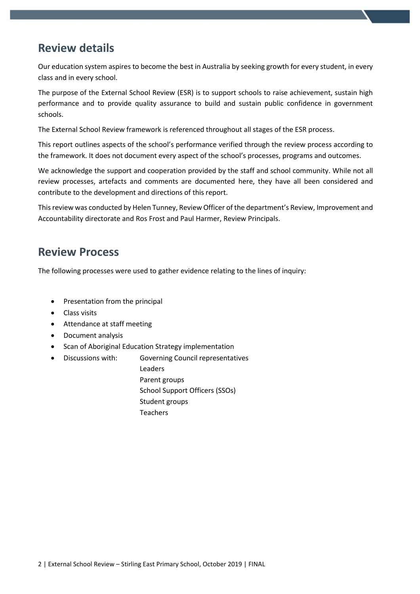# **Review details**

Our education system aspires to become the best in Australia by seeking growth for every student, in every class and in every school.

The purpose of the External School Review (ESR) is to support schools to raise achievement, sustain high performance and to provide quality assurance to build and sustain public confidence in government schools.

The External School Review framework is referenced throughout all stages of the ESR process.

This report outlines aspects of the school's performance verified through the review process according to the framework. It does not document every aspect of the school's processes, programs and outcomes.

We acknowledge the support and cooperation provided by the staff and school community. While not all review processes, artefacts and comments are documented here, they have all been considered and contribute to the development and directions of this report.

This review was conducted by Helen Tunney, Review Officer of the department's Review, Improvement and Accountability directorate and Ros Frost and Paul Harmer, Review Principals.

## **Review Process**

The following processes were used to gather evidence relating to the lines of inquiry:

- Presentation from the principal
- Class visits
- Attendance at staff meeting
- Document analysis
- Scan of Aboriginal Education Strategy implementation
	- Discussions with: Governing Council representatives Leaders Parent groups School Support Officers (SSOs) Student groups **Teachers**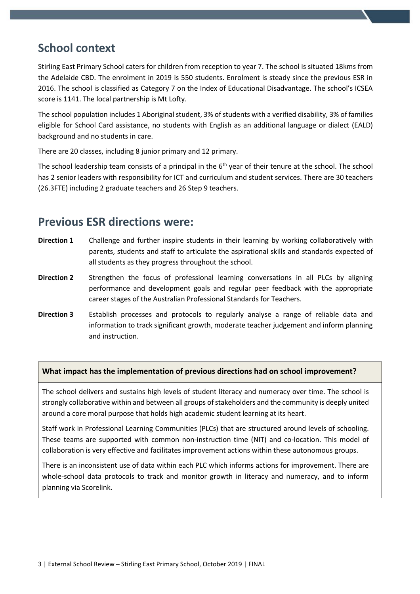# **School context**

Stirling East Primary School caters for children from reception to year 7. The school is situated 18kms from the Adelaide CBD. The enrolment in 2019 is 550 students. Enrolment is steady since the previous ESR in 2016. The school is classified as Category 7 on the Index of Educational Disadvantage. The school's ICSEA score is 1141. The local partnership is Mt Lofty.

The school population includes 1 Aboriginal student, 3% of students with a verified disability, 3% of families eligible for School Card assistance, no students with English as an additional language or dialect (EALD) background and no students in care.

There are 20 classes, including 8 junior primary and 12 primary.

The school leadership team consists of a principal in the 6<sup>th</sup> year of their tenure at the school. The school has 2 senior leaders with responsibility for ICT and curriculum and student services. There are 30 teachers (26.3FTE) including 2 graduate teachers and 26 Step 9 teachers.

## **Previous ESR directions were:**

- **Direction 1** Challenge and further inspire students in their learning by working collaboratively with parents, students and staff to articulate the aspirational skills and standards expected of all students as they progress throughout the school.
- **Direction 2** Strengthen the focus of professional learning conversations in all PLCs by aligning performance and development goals and regular peer feedback with the appropriate career stages of the Australian Professional Standards for Teachers.
- **Direction 3** Establish processes and protocols to regularly analyse a range of reliable data and information to track significant growth, moderate teacher judgement and inform planning and instruction.

#### **What impact has the implementation of previous directions had on school improvement?**

The school delivers and sustains high levels of student literacy and numeracy over time. The school is strongly collaborative within and between all groups of stakeholders and the community is deeply united around a core moral purpose that holds high academic student learning at its heart.

Staff work in Professional Learning Communities (PLCs) that are structured around levels of schooling. These teams are supported with common non-instruction time (NIT) and co-location. This model of collaboration is very effective and facilitates improvement actions within these autonomous groups.

There is an inconsistent use of data within each PLC which informs actions for improvement. There are whole-school data protocols to track and monitor growth in literacy and numeracy, and to inform planning via Scorelink.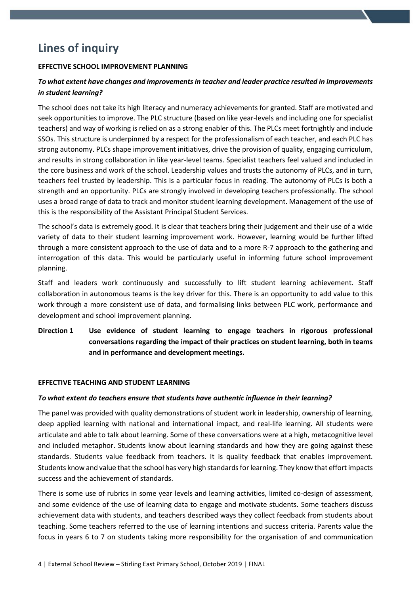# **Lines of inquiry**

#### **EFFECTIVE SCHOOL IMPROVEMENT PLANNING**

## *To what extent have changes and improvements in teacher and leader practice resulted in improvements in student learning?*

The school does not take its high literacy and numeracy achievements for granted. Staff are motivated and seek opportunities to improve. The PLC structure (based on like year-levels and including one for specialist teachers) and way of working is relied on as a strong enabler of this. The PLCs meet fortnightly and include SSOs. This structure is underpinned by a respect for the professionalism of each teacher, and each PLC has strong autonomy. PLCs shape improvement initiatives, drive the provision of quality, engaging curriculum, and results in strong collaboration in like year-level teams. Specialist teachers feel valued and included in the core business and work of the school. Leadership values and trusts the autonomy of PLCs, and in turn, teachers feel trusted by leadership. This is a particular focus in reading. The autonomy of PLCs is both a strength and an opportunity. PLCs are strongly involved in developing teachers professionally. The school uses a broad range of data to track and monitor student learning development. Management of the use of this is the responsibility of the Assistant Principal Student Services.

The school's data is extremely good. It is clear that teachers bring their judgement and their use of a wide variety of data to their student learning improvement work. However, learning would be further lifted through a more consistent approach to the use of data and to a more R-7 approach to the gathering and interrogation of this data. This would be particularly useful in informing future school improvement planning.

Staff and leaders work continuously and successfully to lift student learning achievement. Staff collaboration in autonomous teams is the key driver for this. There is an opportunity to add value to this work through a more consistent use of data, and formalising links between PLC work, performance and development and school improvement planning.

**Direction 1 Use evidence of student learning to engage teachers in rigorous professional conversations regarding the impact of their practices on student learning, both in teams and in performance and development meetings.**

#### **EFFECTIVE TEACHING AND STUDENT LEARNING**

#### *To what extent do teachers ensure that students have authentic influence in their learning?*

The panel was provided with quality demonstrations of student work in leadership, ownership of learning, deep applied learning with national and international impact, and real-life learning. All students were articulate and able to talk about learning. Some of these conversations were at a high, metacognitive level and included metaphor. Students know about learning standards and how they are going against these standards. Students value feedback from teachers. It is quality feedback that enables improvement. Students know and value that the school has very high standards for learning. They know that effort impacts success and the achievement of standards.

There is some use of rubrics in some year levels and learning activities, limited co-design of assessment, and some evidence of the use of learning data to engage and motivate students. Some teachers discuss achievement data with students, and teachers described ways they collect feedback from students about teaching. Some teachers referred to the use of learning intentions and success criteria. Parents value the focus in years 6 to 7 on students taking more responsibility for the organisation of and communication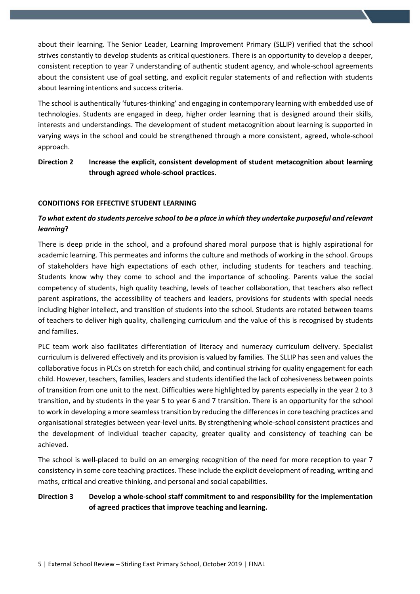about their learning. The Senior Leader, Learning Improvement Primary (SLLIP) verified that the school strives constantly to develop students as critical questioners. There is an opportunity to develop a deeper, consistent reception to year 7 understanding of authentic student agency, and whole-school agreements about the consistent use of goal setting, and explicit regular statements of and reflection with students about learning intentions and success criteria.

The school is authentically 'futures-thinking' and engaging in contemporary learning with embedded use of technologies. Students are engaged in deep, higher order learning that is designed around their skills, interests and understandings. The development of student metacognition about learning is supported in varying ways in the school and could be strengthened through a more consistent, agreed, whole-school approach.

### **Direction 2 Increase the explicit, consistent development of student metacognition about learning through agreed whole-school practices.**

#### **CONDITIONS FOR EFFECTIVE STUDENT LEARNING**

## *To what extent do students perceive school to be a place in which they undertake purposeful and relevant learning***?**

There is deep pride in the school, and a profound shared moral purpose that is highly aspirational for academic learning. This permeates and informs the culture and methods of working in the school. Groups of stakeholders have high expectations of each other, including students for teachers and teaching. Students know why they come to school and the importance of schooling. Parents value the social competency of students, high quality teaching, levels of teacher collaboration, that teachers also reflect parent aspirations, the accessibility of teachers and leaders, provisions for students with special needs including higher intellect, and transition of students into the school. Students are rotated between teams of teachers to deliver high quality, challenging curriculum and the value of this is recognised by students and families.

PLC team work also facilitates differentiation of literacy and numeracy curriculum delivery. Specialist curriculum is delivered effectively and its provision is valued by families. The SLLIP has seen and values the collaborative focus in PLCs on stretch for each child, and continual striving for quality engagement for each child. However, teachers, families, leaders and students identified the lack of cohesiveness between points of transition from one unit to the next. Difficulties were highlighted by parents especially in the year 2 to 3 transition, and by students in the year 5 to year 6 and 7 transition. There is an opportunity for the school to work in developing a more seamless transition by reducing the differences in core teaching practices and organisational strategies between year-level units. By strengthening whole-school consistent practices and the development of individual teacher capacity, greater quality and consistency of teaching can be achieved.

The school is well-placed to build on an emerging recognition of the need for more reception to year 7 consistency in some core teaching practices. These include the explicit development of reading, writing and maths, critical and creative thinking, and personal and social capabilities.

## **Direction 3 Develop a whole-school staff commitment to and responsibility for the implementation of agreed practices that improve teaching and learning.**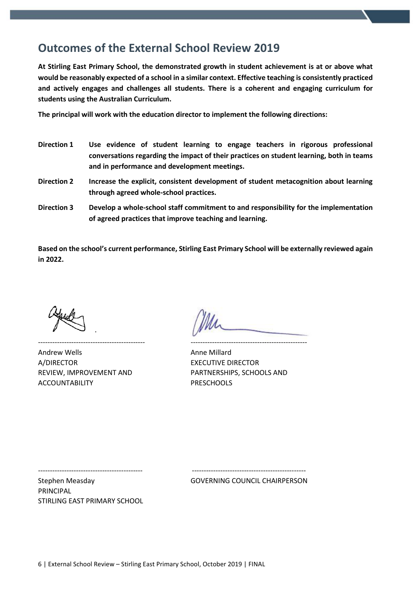## **Outcomes of the External School Review 2019**

**At Stirling East Primary School, the demonstrated growth in student achievement is at or above what would be reasonably expected of a school in a similar context. Effective teaching is consistently practiced and actively engages and challenges all students. There is a coherent and engaging curriculum for students using the Australian Curriculum.**

**The principal will work with the education director to implement the following directions:**

- **Direction 1 Use evidence of student learning to engage teachers in rigorous professional conversations regarding the impact of their practices on student learning, both in teams and in performance and development meetings.**
- **Direction 2 Increase the explicit, consistent development of student metacognition about learning through agreed whole-school practices.**
- **Direction 3 Develop a whole-school staff commitment to and responsibility for the implementation of agreed practices that improve teaching and learning.**

**Based on the school's current performance, Stirling East Primary School will be externally reviewed again in 2022.**

--------------------------------------------- -------------------------------------------------

Andrew Wells **Andrew Wells** Anne Millard A/DIRECTOR EXECUTIVE DIRECTOR ACCOUNTABILITY PRESCHOOLS

REVIEW, IMPROVEMENT AND PARTNERSHIPS, SCHOOLS AND

-------------------------------------------- ------------------------------------------------

Stephen Measday GOVERNING COUNCIL CHAIRPERSON

PRINCIPAL STIRLING EAST PRIMARY SCHOOL